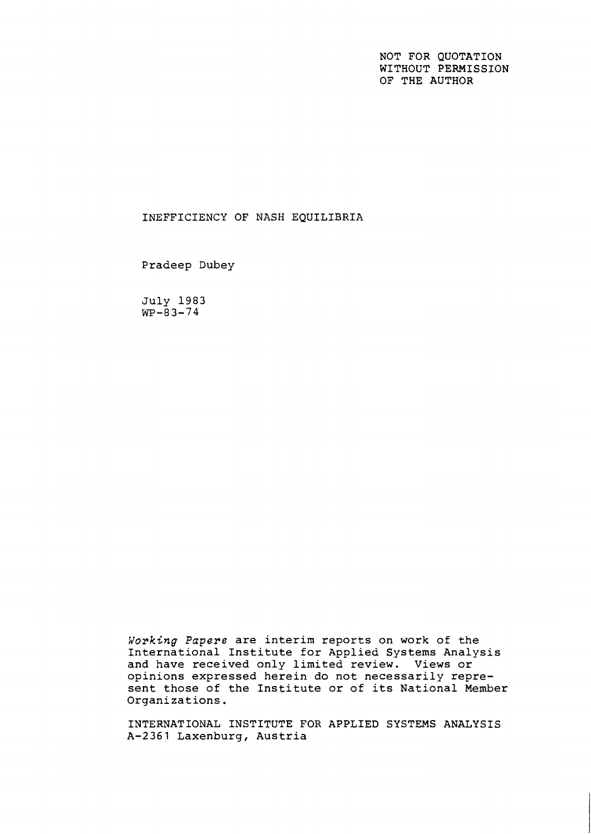NOT FOR QUOTATION WITHOUT PERMISSION OF THE AUTHOR

### INEFFICIENCY OF NASH EQUILIBRIA

Pradeep Dubey

July 1983  $WP - 83 - 74$ 

**Working** *Papers* are interim reports on work of the International Institute for Applied Systems Analysis and have received only limited review. Views or opinions expressed herein do not necessarily represent those of the Institute or of its National Member Organizations.

INTERNATIONAL INSTITUTE FOR APPLIED SYSTEMS ANALYSIS A-2361 Laxenburg, Austria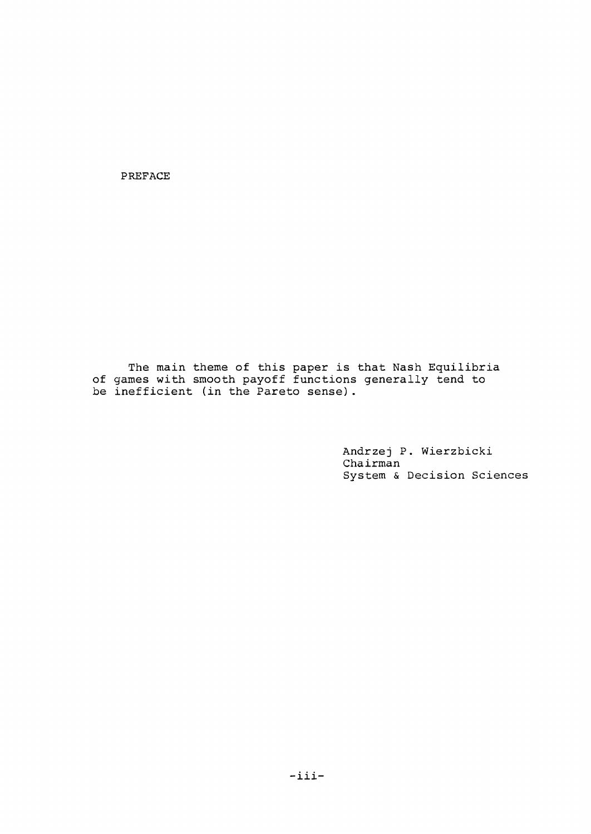PREFACE

The main theme of this paper is that Nash Equilibria of games with smooth payoff functions generally tend to be inefficient (in the Pareto sense).

> Andrzej P. Wierzbicki Chairman System & Decision Sciences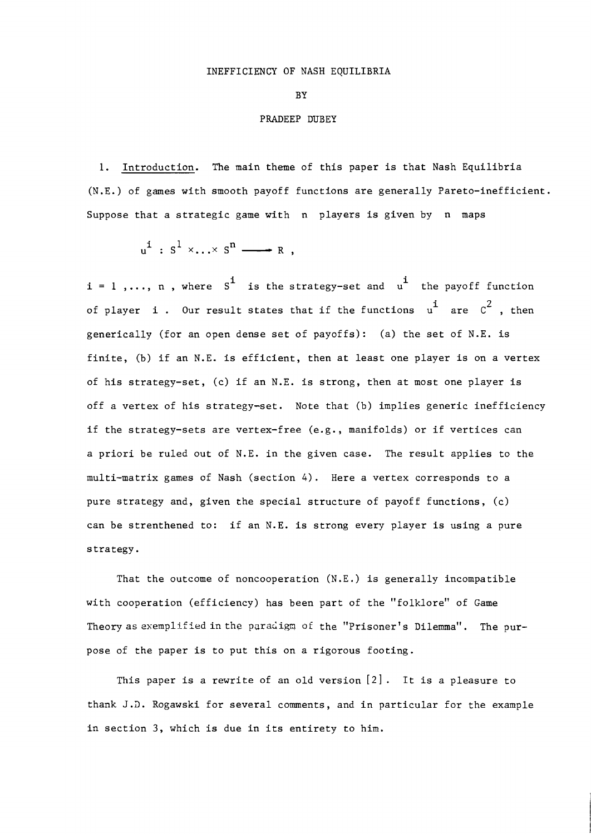BY

#### PRADEEP DUBEY

1. Introduction. The main theme of this paper is that Nash Equilibria (N.E.) of games with smooth payoff functions are generally Pareto-inefficient. Suppose that a strategic game with n players is given by n maps

$$
u^{i}: S^{1} \times \ldots \times S^{n} \longrightarrow R ,
$$

 $i = 1, \ldots, n$ , where  $S^i$  is the strategy-set and  $u^i$  the payoff function of player i. Our result states that if the functions  $u^i$  are  $c^2$ , then generically (for an open dense set of payoffs): (a) the set of N.E. is finite, (b) if an N.E. is efficient, then at least one player is on a vertex of his strategy-set, (c) if an N.E. is strong, then at most one player is off a vertex of his strategy-set. Note that (b) implies generic inefficiency if the strategy-sets are vertex-free (e.g., manifolds) or if vertices can a priori be ruled out of N.E. in the given case. The result applies to the multi-matrix games of Nash (section 4). Here a vertex corresponds to a pure strategy and, given the special structure of payoff functions, (c) can be strenthened to: if an N.E. is strong every player is using a pure strategy.

That the outcome of noncooperation (N.E.) is generally incompatible with cooperation (efficiency) has been part of the "folklore" of Game Theory as exemplified in the paradigm of the "Prisoner's  $D$ ilemma". The purpose of the paper is to put this on a rigorous footing.

This paper is a rewrite of an old version *[2]* . It is a pleasure to thank J.3. Rogawski for several comments, and in particular for the example in section 3, which is due in its entirety to him.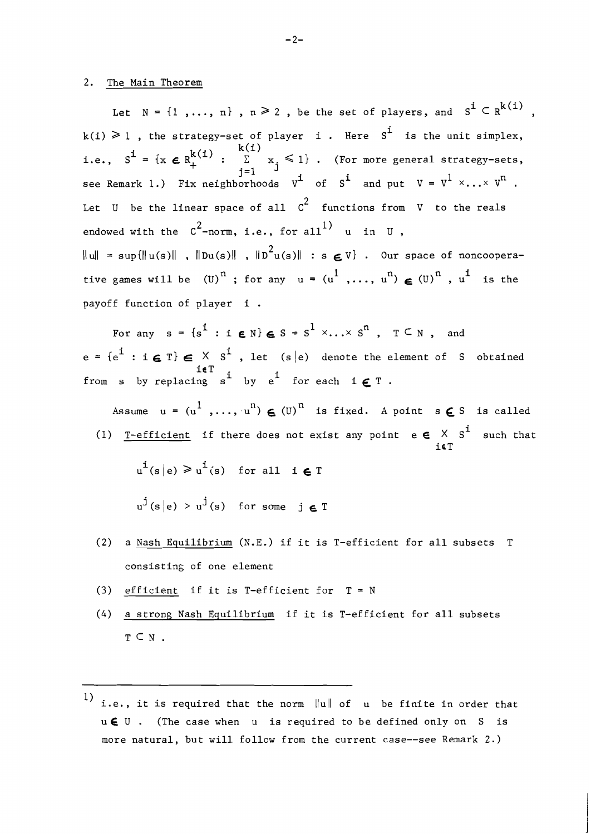#### 2. The Main Theorem

Let  $N = \{1, \ldots, n\}$ ,  $n \ge 2$ , be the set of players, and  $S^1 \subseteq R^{k(1)}$ ,  $k(i) \geq 1$ , the strategy-set of player i. Here S<sup>i</sup> is the unit simplex, i.e.,  $S^{\mathbf{i}} = \{x \in R_+^{k(\mathbf{i})} : \sum_{j=1}^{k(\mathbf{i})} x_j \leq 1\}$ . (For more general strategy-sets, see Remark 1.) Fix neighborhoods  $v^i$  of  $s^i$  and put  $v = v^1 \times ... \times v^n$ . Let U be the linear space of all  $c^2$  functions from V to the reals endowed with the  $C^2$ -norm, i.e., for all<sup>1</sup> u in U,  $\|u\|$  = sup $\{\|u(s)\|$  ,  $\|Du(s)\|$  ,  $\|D^2u(s)\|$  : s  $\boldsymbol{\epsilon}$  V} . Our space of noncooperative games will be  $(U)^n$ ; for any  $u = (u^1, ..., u^n) \in (U)^n$ ,  $u^i$  is the payoff function of player i .

For any  $s = \{s^1 : i \in \mathbb{N}\} \in S = S^1 \times ... \times S^n$ ,  $T \subseteq N$ , and  $e = \{e^{i} : i \in T\} \in X \times S^{i}$ , let (s $|e\rangle$  denote the element of S obtained  ${\bf i}\in\mathbb{T} \atop {\bf f}{\bf r}$  from s by replacing s<sup>i</sup> by e<sup>i</sup> for each  ${\bf i}\in\mathbb{T}$ .

Assume  $u = (u^1, ..., u^n) \in (U)^n$  is fixed. A point  $s \in S$  is called i) <u>T-efficient</u> if there does not exist any point  $e \in X S^1$  such that i6T

 $u^{i}(s|e) \geq u^{i}(s)$  for all  $i \in T$ 

 $u^{j}(s|e) > u^{j}(s)$  for some  $i \in T$ 

- (2) a Nash Equilibrium (R.E.) if it is T-efficient for all subsets T consisting of one element
- **(3)** efficient if it is T-efficient for T <sup>=</sup><sup>N</sup>
- (4) a strons Nash Equilibrium if it is T-efficient for all subsets  $T \subset N$ .

<sup>1)</sup> i.e., it is required that the norm  $\|u\|$  of  $u$  be finite in order that u€ U . (The case when u is required to be defined only on S is more natural, but will follow from the current case--see Remark 2.)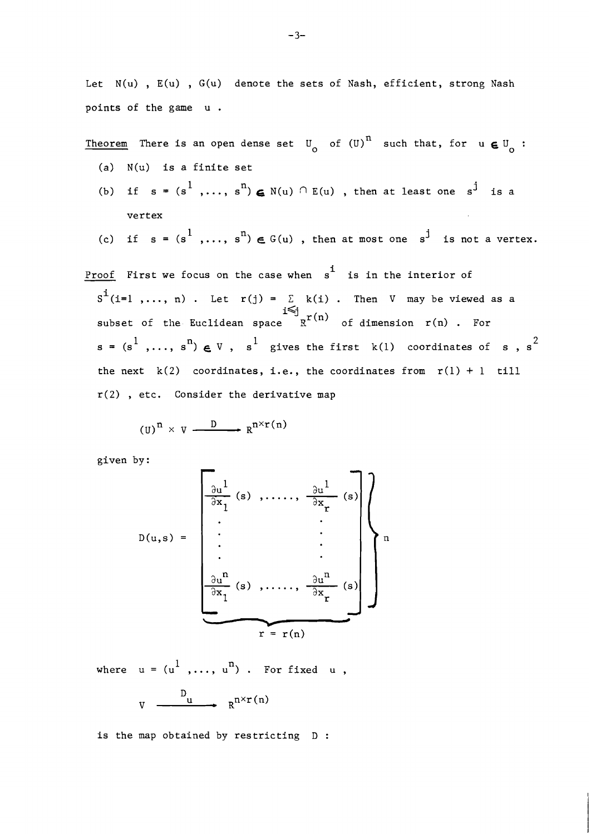Let  $N(u)$ ,  $E(u)$ ,  $G(u)$  denote the sets of Nash, efficient, strong Nash points of the game u .

Theorem There is an open dense set  $\mathbb{U}^{\phantom{\dag}}_0$  of  $\mathbb{(U)}^{\hskip.75pt \text{n}}$  such that, for  $\text{u}\, \boldsymbol{\in} \mathbb{U}^{\phantom{\dag}}_0$  :

- (a) N(u) is a finite set
- (b) if  $s = (s^1, \ldots, s^n) \in N(u) \cap E(u)$ , then at least one  $s^j$  is a vertex

(c) if 
$$
s = (s^1, ..., s^n) \in G(u)
$$
, then at most one  $s^j$  is not a vertex.

Proof First we focus on the case when  $\frac{1}{s}$  is in the interior of  $S^{\mathbf{i}}(i=1, \ldots, n)$ . Let  $r(j) = \sum k(i)$ . Then V may be viewed as a i<j subset of the Euclidean space  $R^{r(n)}$  of dimension  $r(n)$  . For  $\mathbf{s} = (\mathbf{s}^1, \dots, \mathbf{s}^n) \in \mathbb{V}$ ,  $\mathbf{s}^1$  gives the first k(1) coordinates of  $\mathbf{s}$ ,  $\mathbf{s}^2$ the next  $k(2)$  coordinates, i.e., the coordinates from  $r(1) + 1$  till r(2) , etc. Consider the derivative map

$$
(U)^n \times V \xrightarrow{D} R^{n \times r(n)}
$$

given by :

$$
D(u,s) = \begin{bmatrix} \frac{\partial u^{1}}{\partial x_{1}}(s) , \ldots , \frac{\partial u^{1}}{\partial x_{r}}(s) \\ \vdots \\ \frac{\partial u^{n}}{\partial x_{1}}(s) , \ldots , \frac{\partial u^{n}}{\partial x_{r}}(s) \\ \vdots \\ \frac{\partial u^{n}}{\partial x_{1}}(s) , \ldots , \frac{\partial u^{n}}{\partial x_{r}}(s) \end{bmatrix} n
$$

where  $u = (u^1, \ldots, u^n)$ . For fixed u,  $V \longrightarrow \mathbb{R}^{n \times r(n)}$ 

is the map obtained by restricting D :

 $-3-$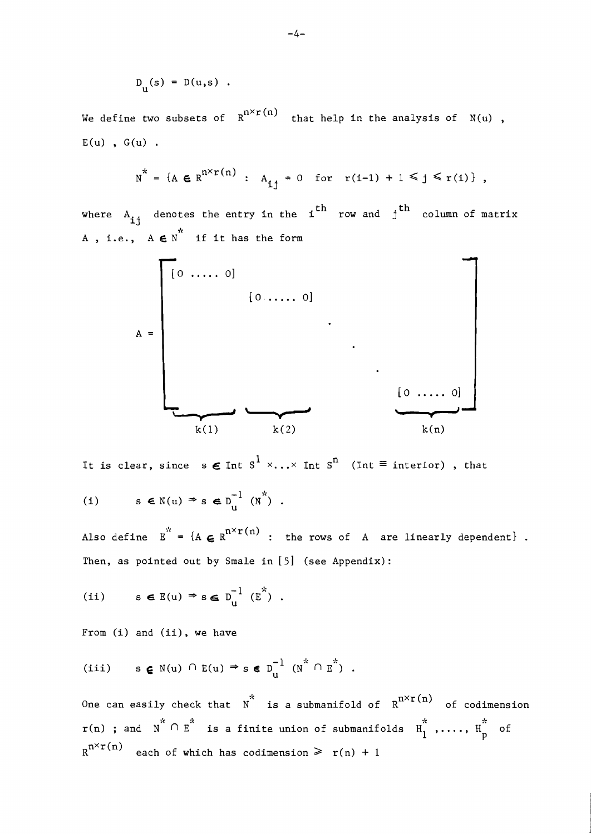$$
D_{u}(s) = D(u,s) .
$$

We define two subsets of  $R^{n \times r(n)}$  that help in the analysis of  $N(u)$ ,  $E(u)$ ,  $G(u)$ .

$$
N^* = \{ A \in R^{n \times r(n)} : A_{ij} = 0 \text{ for } r(i-1) + 1 \leq j \leq r(i) \},
$$

where  $A_{ij}$  denotes the entry in the i<sup>th</sup> row and j<sup>th</sup> column of matrix \* A, i.e.,  $A \in N$  if it has the form

$$
A = \begin{bmatrix} 0 & \dots & 0 \\ 0 & \dots & 0 \\ & & \ddots & \\ & & & \ddots \\ & & & & \ddots \\ & & & & & 0 \end{bmatrix}
$$

It is clear, since  $s \in \text{Int } s^1 \times ... \times \text{Int } s^n$  (Int  $\equiv$  interior), that

(i) 
$$
s \in N(u) \Rightarrow s \in D_u^{-1}(N^*)
$$
.

Also define  $E^{*} = {A \in R^{n \times r(n)}}$  : the rows of A are linearly dependent}. Then, as pointed out by Smale in  $[5]$  (see Appendix):

(ii) 
$$
s \in E(u) \Rightarrow s \in D_u^{-1}(E^*)
$$
.

From (i) and (ii), we have

$$
\text{(iii)} \qquad s \in \mathbb{N}(u) \cap \mathbb{E}(u) \Rightarrow s \in D_u^{-1} \quad (N^* \cap E^*) \quad .
$$

One can easily check that  $N^*$  is a submanifold of  $R^{n \times r(n)}$  of codimension  $\mathtt{r(n)}$  ; and  $\texttt{N} \overset{*}{\cap} \texttt{E}^*$  is a finite union of submanifolds  $\texttt{H}_1^*$  ,....,  $\texttt{H}_p^*$  of  $R^{n \times r(n)}$  each of which has codimension  $\geq r(n) + 1$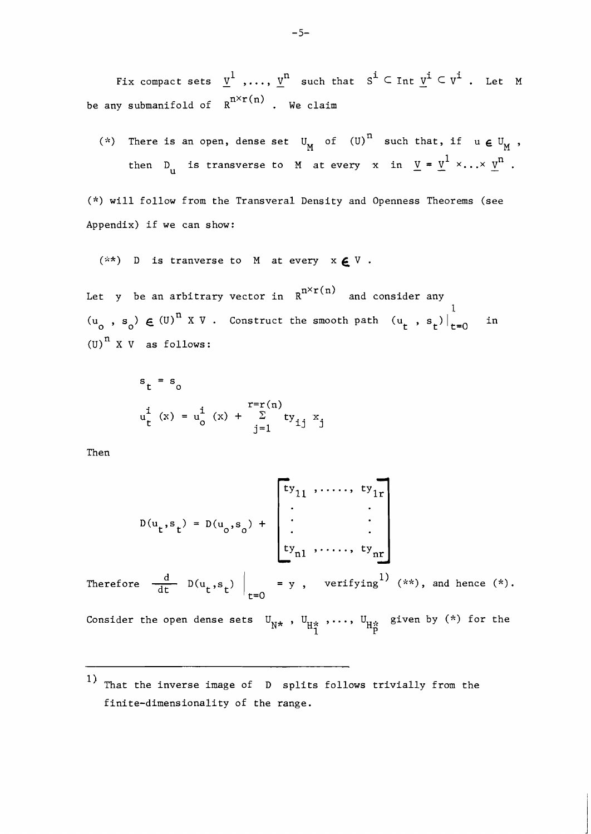Fix compact sets  $\underline{v}^1$  ,...,  $\underline{v}^n$  such that  $s^i \subset \text{Int } \underline{v}^i \subset v^i$  . Let M be any submanifold of  $R^{n\times r(n)}$  . We claim

(\*) There is an open, dense set  $U^M$  of  $(U)^n$  such that, if  $u \in U^M$ , then D<sub>u</sub> is transverse to M at every x in  $\underline{v} = \underline{v}^1 \times ... \times \underline{v}^n$ .

(\*) will follow from the Transveral Density and Openness Theorems (see Appendix) if we can show:

 $(**)$  D is tranverse to M at every  $x \in V$ .

Let y be an arbitrary vector in  $R^{n \times r(n)}$  and consider any  $\begin{array}{cc} \n\langle u_{\mathsf{O}} \end{array}$  , s<sub>o</sub>)  $\in$  (U)<sup>n</sup> X V . Construct the smooth path  $\begin{array}{cc} \n\langle u_{\mathsf{t}} \end{array}$  , s<sub>t</sub>)  $\begin{array}{ccc} 1 \\ t=0 \end{array}$  in (U)<sup> $n$ </sup> X V as follows:

$$
s_{t} = s_{0}
$$
  
\n
$$
u_{t}^{i} (x) = u_{0}^{i} (x) + \sum_{j=1}^{r=r(n)} ty_{ij} x_{j}
$$

Then

$$
D(u_t, s_t) = D(u_0, s_0) + \begin{bmatrix} ty_{11} & \cdots & \cdots & y_{1r} \\ \vdots & & \vdots & \vdots \\ y_{n1} & \cdots & \cdots & y_{nr} \\ ty_{n1} & \cdots & \cdots & y_{nr} \end{bmatrix}
$$
  
Therefore  $\frac{d}{dt} D(u_t, s_t) \Big|_{t=0} = y$ , verifying<sup>1</sup> (\*\*), and hence (\*).

Consider the open dense sets  $\mathbb{U}_{\mathrm{N}^\star}$  ,  $\mathbb{U}_{\mathrm{H}^\star}$  ,...,  $\mathbb{U}_{\mathrm{H}^\star}$  given by (\*) for the **1** P

That the inverse image of **D** splits follows trivially from the finite-dimensionality of the range.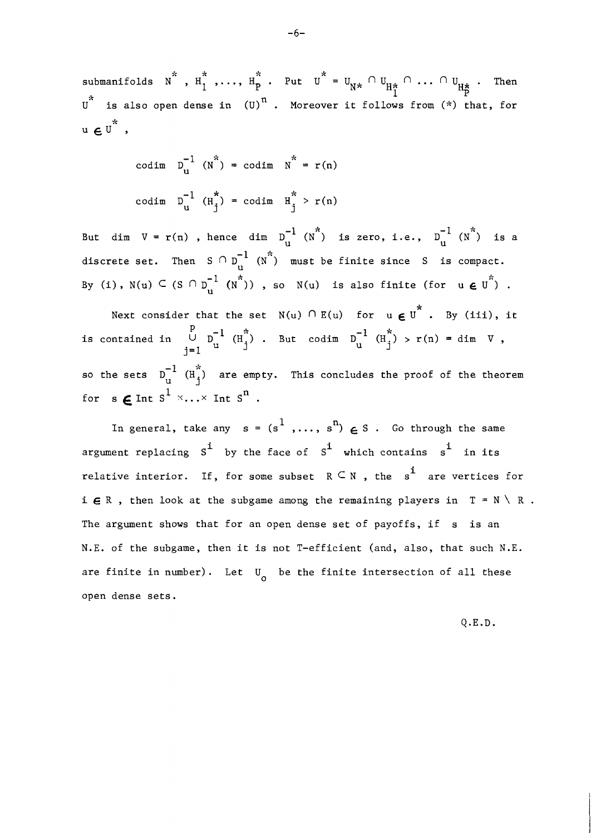submanifolds  $N^*$ ,  $H_1^*$ , ...,  $H_P^*$ . Put  $U^* = U_{N^*} \cap U_{H_P^*} \cap \dots \cap U_{H_P^*}$ . Then  $U^*$  is also open dense in  $(U)^n$ . Moreover it follows from  $(*)$  that, for  $u \in U^*$ ,

$$
\begin{aligned}\n\text{codim} \quad & \mathbf{D}_{\mathbf{u}}^{-1} \quad (\mathbf{N}^*) = \text{codim} \quad \mathbf{N}^* = \mathbf{r}(\mathbf{n}) \\
\text{codim} \quad & \mathbf{D}_{\mathbf{u}}^{-1} \quad (\mathbf{H}_{\mathbf{j}}^*) = \text{codim} \quad \mathbf{H}_{\mathbf{j}}^* > \mathbf{r}(\mathbf{n})\n\end{aligned}
$$

But dim  $V = r(n)$  , hence dim  $D_{u}^{-1}$  ( $N^{*}$ ) is zero, i.e.,  $D_{u}^{-1}$  ( $N^{*}$ ) is a discrete set. Then S  $\cap$  D<sub>11</sub> (N<sup>\*</sup>) must be finite since S is compact. By (i),  $N(u) \subseteq (S \cap D_u^{-1} (N^{\star}))$ , so  $N(u)$  is also finite (for  $u \in U^{\star}$ ).

Next consider that the set  $N(u)$   $\cap$  E(u) for  $u$   $\boldsymbol{\epsilon}$   $\stackrel{*}{\mathbf{U}}^*$  . By (iii), it is contained in  $\bigcup_{j=1}^p D_u^{-1} (H_j^*)$ . But codim  $D_u^{-1} (H_j^*) > r(n) = \dim V$ , so the sets  $\mathbb{D}^{-1}_{n}$  (H $_{\mathbf{i}}^{*}$ ) are empty. This concludes the proof of the theorem for  $s \in \text{Int } s^1 \times \ldots \times \text{Int } s^n$ .

In general, take any  $s = (s^1, \ldots, s^n) \in S$ . Go through the same argument replacing  $S^1$  by the face of  $S^1$  which contains  $s^1$  in its relative interior. If, for some subset  $R \subseteq N$ , the s<sup>1</sup> are vertices for i  $\boldsymbol{\epsilon}$  R , then look at the subgame among the remaining players in  $T = N \setminus R$ . The argument shows that for an open dense set of payoffs, if s is an N.E. of the subgame, then it is not T-efficient (and, also, that such N.E. are finite in number). Let  $U_{\alpha}$  be the finite intersection of all these open dense sets.

Q.E.D.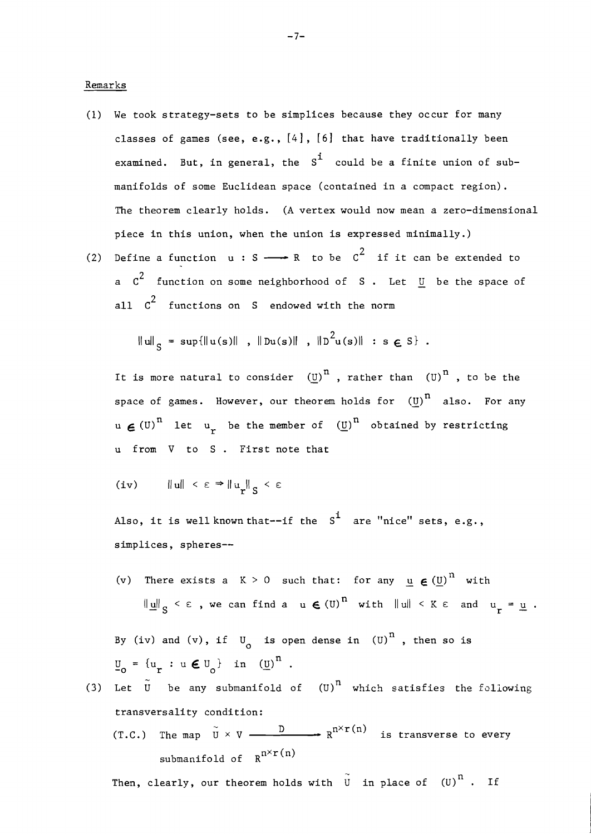Remarks

- (1) We took strategy-sets to be simplices because they occur for many classes of games (see, e.g., *[4]* , *[6]* that have traditionally been examined. But, in general, the  $S^1$  could be a finite union of submanifolds of some Euclidean space (contained in a compact region). The theorem clearly holds. (A vertex would now mean a zero-dimensional piece in this union, when the union is expressed minimally.)
- (2) Define a function  $u : S \longrightarrow R$  to be  $C^2$  if it can be extended to a  $c^2$  function on some neighborhood of S. Let  $\overline{u}$  be the space of all  $c^2$  functions on S endowed with the norm

$$
\|u\|_{c} = \sup\{\|u(s)\|, \|Du(s)\|, \|D^{2}u(s)\| : s \in S\}
$$
.

It is more natural to consider  $(U)^n$ , rather than  $(U)^n$ , to be the space of games. However, our theorem holds for  $(U)^n$  also. For any  $u \in (U)^n$  let  $u_r$  be the member of  $(U)^n$  obtained by restricting u from V to S . First note that

$$
(iv) \qquad \|u\| < \varepsilon \Rightarrow \|u_r\|_S < \varepsilon
$$

Also, it is well known that--if the  $S^1$  are "nice" sets, e.g., simplices, spheres--

(v) There exists a  $K > 0$  such that: for any  $u \in (U)^{n}$  with  $\|\underline{u}\|_{\mathcal{C}} < \varepsilon$ , we can find a  $u \in (U)^{n}$  with  $\|u\| < K \varepsilon$  and  $u_{r} = \underline{u}$ .

By (iv) and (v), if  $U_{\alpha}$  is open dense in (U)<sup>n</sup>, then so is  $\underline{v}_{0} = \{u_{r} : u \in U_{0}\}$  in  $(\underline{v})^{n}$ .

(3) Let  $\tilde{U}$  be any submanifold of  $(U)^{n}$  which satisfies the following transversality condition:  $\sim$ (T.C.) The map  $\tilde{U} \times V$  -  $\stackrel{D}{\longrightarrow} R^{n \times r(n)}$  is transverse to every submanifold of  $R^{n \times r(n)}$ 

 $\sim$ Then, clearly, our theorem holds with  $\stackrel{\sim}{{\tt u}}$  in place of  ${\tt (U)}^{\tt n}$  . If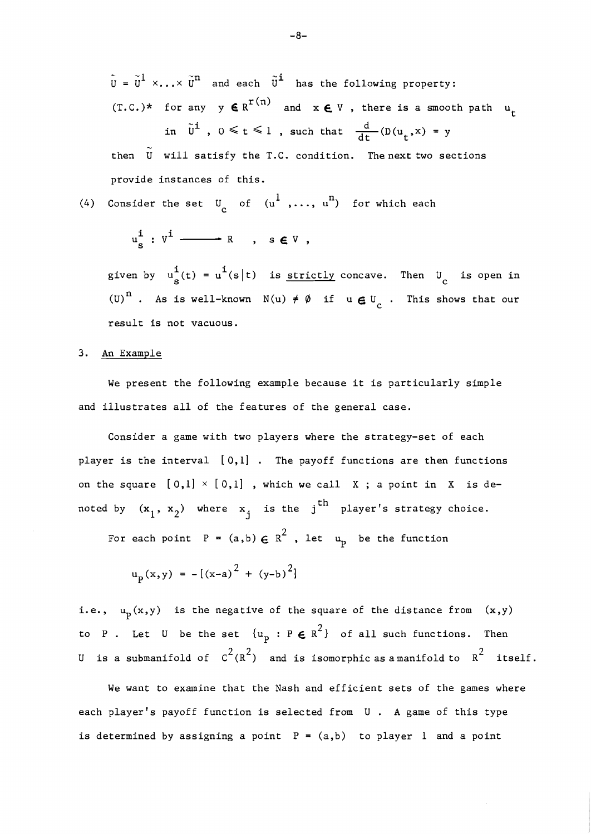$\tilde{u} = \tilde{u}^1 \times ... \times \tilde{u}^n$  and each  $\tilde{u}^i$  has the following property:  $(T.C.)^*$  for any  $y \in R^{r(n)}$  and  $x \in V$ , there is a smooth path  $u_t$ in  $\tilde{U}^{\mathbf{i}}$ ,  $0 \leq t \leq 1$ , such that  $\frac{d}{dt}(D(u_t,x) = y)$  $\sim$ 

then U will satisfy the T.C. condition. Thenext two sections provide instances of this.

(4) Consider the set  $U$  of  $(u^{1},...,u^{n})$  for which each

$$
u_{S}^{\mathbf{i}}:V^{\mathbf{i}}\longrightarrow R\ ,\ s\in V\ ,
$$

given by  $u_{s}^{i}(t) = u^{i}(s|t)$  is <u>strictly</u> concave. Then  $U_{c}$  is open in (U)<sup>n</sup>. As is well-known  $N(u) \neq \emptyset$  if  $u \in U_c$ . This shows that our result is not vacuous.

### **3.** An Example

We present the following example because it is particularly simple and illustrates all of the features of the general case.

Consider a game with two players where the strategy-set of each player is the interval [0,1] . The payoff functions are then functions on the square  $[0,1] \times [0,1]$ , which we call X; a point in X is denoted by  $(x_1, x_2)$  where  $x_j$  is the j<sup>th</sup> player's strategy choice.

For each point  $P = (a,b) \in R^2$ , let  $u_p$  be the function

$$
u_p(x,y) = -[(x-a)^2 + (y-b)^2]
$$

i.e.,  $u_p(x,y)$  is the negative of the square of the distance from  $(x,y)$ to P. Let U be the set  $\{u_p : P \in R^2\}$  of all such functions. Then U is a submanifold of  $C^2(R^2)$  and is isomorphic as a manifold to  $R^2$  itself.

We want to examine that the Nash and efficient sets of the games where each player's payoff function is selected from U . A game of this type is determined by assigning a point  $P = (a,b)$  to player 1 and a point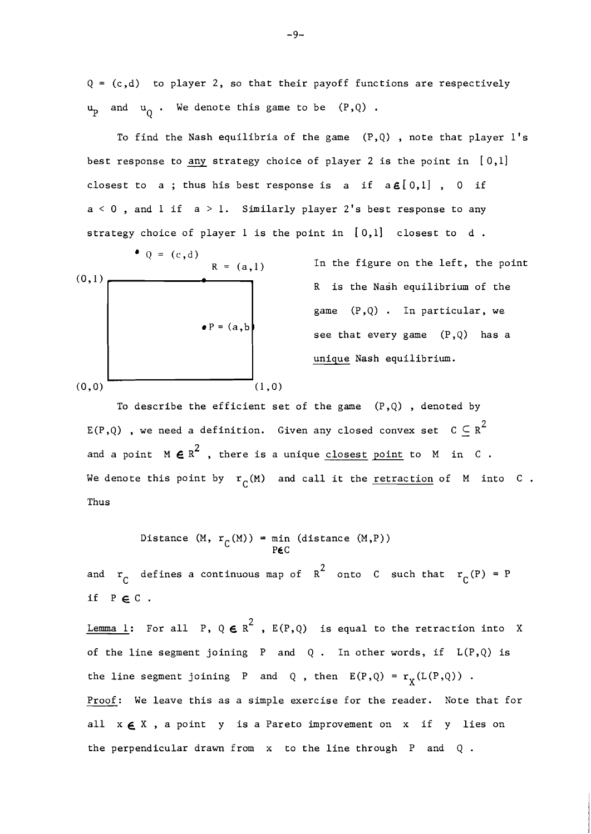$Q = (c,d)$  to player 2, so that their payoff functions are respectively  $\mathbf{u}_p$  and  $\mathbf{u}_Q$ . We denote this game to be  $(P,Q)$  .

To find the Nash equilibria of the game  $(P,Q)$ , note that player l's best response to *any* strategy choice of player 2 is the point in [0,1] closest to a; thus his best response is a if  $a \in [0,1]$ , 0 if  $a < 0$ , and l if  $a > 1$ . Similarly player 2's best response to any strategy choice of player 1 is the point in [0,1] closest to d .



In the figure on the left, the point game (P,Q) . In particular, we see that every game (P,Q) has a unique Nash equilibrium.

To describe the efficient set of the game  $(P,Q)$ , denoted by E(P,Q), we need a definition. Given any closed convex set  $C \subseteq R^2$ and a point  $M \in \mathbb{R}^2$ , there is a unique closest point to  $M$  in  $C$ . We denote this point by  $r_{\Gamma}(M)$  and call it the <u>retraction</u> of M into C. Thus

Distance (M, 
$$
r_C(M)
$$
) = min (distance (M,P))  
P $\epsilon$ C

and  $r_C$  defines a continuous map of  $R^2$  onto C such that  $r_C(P) = P$ if  $P \in C$ .

<u>Lemma 1</u>: For all P,  $Q \in R^2$ ,  $E(P,Q)$  is equal to the retraction into X of the line segment joining  $P$  and  $Q$ . In other words, if  $L(P,Q)$  is the line segment joining P and Q, then  $E(P,Q) = r<sub>y</sub>(L(P,Q))$ . Proof: We leave this as a simple exercise for the reader. Note that for all  $x \in X$ , a point y is a Pareto improvement on x if y lies on the perpendicular drawn from x to the line through P and Q .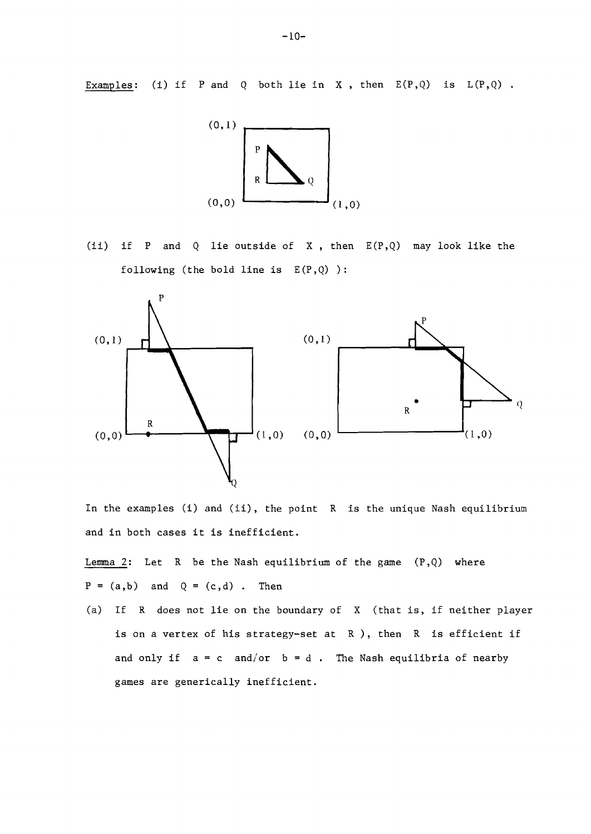Examples: (i) if P and Q both lie in X, then  $E(P,Q)$  is  $L(P,Q)$ .



(ii) if P and Q lie outside of X, then  $E(P,Q)$  may look like the following (the bold line is  $E(P, Q)$ ):



In the examples (i) and (ii), the point R is the unique Nash equilibrium and in both cases it is inefficient.

Lemma 2: Let R be the Nash equilibrium of the game  $(P,Q)$  where  $P = (a,b)$  and  $Q = (c,d)$ . Then

(a) If R does not lie on the boundary of X (that is, if neither player is on a vertex of his strategy-set at R ), then R is efficient if and only if  $a = c$  and/or  $b = d$ . The Nash equilibria of nearby games are generically inefficient.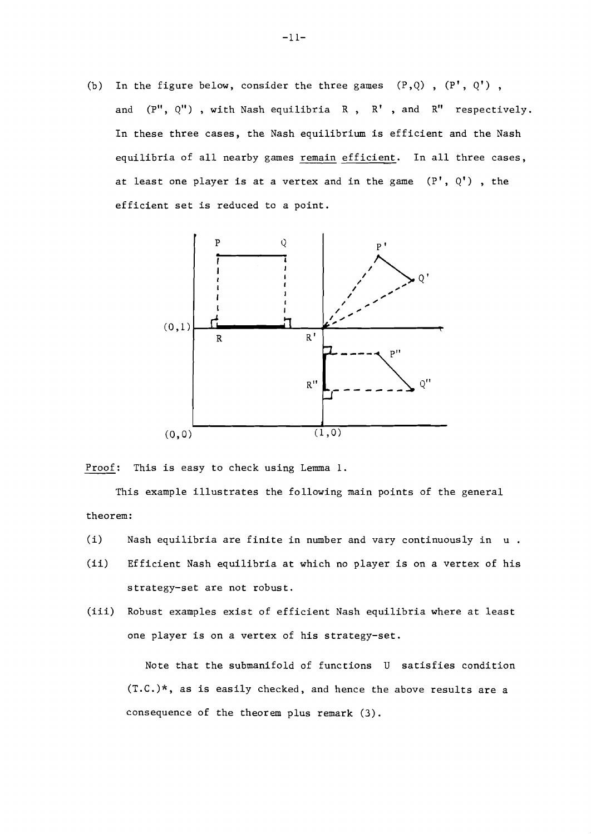(b) In the figure below, consider the three games  $(P,Q)$ ,  $(P', Q')$ , and  $(P''$ ,  $Q''$ ), with Nash equilibria  $R$ ,  $R'$ , and  $R''$  respectively. In these three cases, the Nash equilibrium is efficient and the Nash equilibria of all nearby games remain efficient. In all three cases, at least one player is at a vertex and in the game  $(P', Q')$ , the efficient set is reduced to a point.



Proof: This is easy to check using Lemma 1.

This example illustrates the following main points of the general theorem:

- (i) Nash equilibria are finite in number and vary continuously in u .
- (ii) Efficient Nash equilibria at which no player is on a vertex of his s trategy-set are not robust.
- (iii) Robust examples exist of efficient Nash equilibria where at least one player is on a vertex of his strategy-set.

Note that the submanifold of functions U satisfies condition (T.C.)\*, as is easily checked, and hence the above results are a consequence of the theorem plus remark **(3).**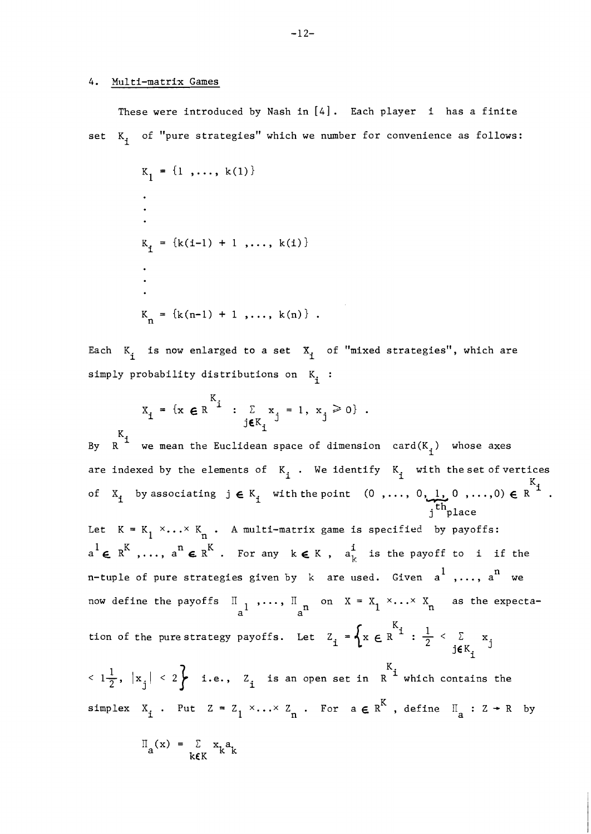## 4. Multi-matrix Games

These were introduced by Nash in *[4].* Each player i has a finite set  $K_i$  of "pure strategies" which we number for convenience as follows:

$$
K_{1} = \{1, ..., k(1)\}
$$
  
.  
.  
.  

$$
K_{i} = \{k(i-1) + 1, ..., k(i)\}
$$
  
.  
.  

$$
K_{n} = \{k(n-1) + 1, ..., k(n)\}
$$

Each  $K_i$  is now enlarged to a set  $X_i$  of "mixed strategies", which are simply probability distributions on  $K_i$  :

$$
X_{\mathbf{i}} = \{x \in R \mid x_i \in R \text{ and } x_j = 1, x_j \ge 0\}.
$$

K<sub>i</sub> we mean the Euclidean space of dimension card(K<sub>1</sub>) whose axes are indexed by the elements of  $K_i$ . We identify  $K_i$  with the set of vertices By R<sup><sup>1</sup> we mean the Euclidean space of dimension card(K<sub>1</sub>) whose axes<br>are indexed by the elements of K<sub>1</sub>. We identify K<sub>1</sub> with the set of vertices<br>of X<sub>1</sub> by associating  $j \in K_i$  with the point  $(0, ..., 0, 1, 0, ..., 0) \in R$ <sup>1</sup></sup> Let  $K = K_1 \times ... \times K_n$ . A multi-matrix game is specified by payoffs:  $a^1 \in R^K$  ,...,  $a^n \in R^K$  . For any  $k \in K$  ,  $a_k^i$  is the payoff to i if the n-tuple of pure strategies given by k are used. Given a<sup>1</sup>,..., a<sup>n</sup> we now define the payoffs  $\mathbb{I}_{a^1}$ , ...,  $\mathbb{I}_{a^n}$  on  $X = X_1 \times ... \times X_n$  as the expecta- $\langle 1\frac{1}{2}, |x_j|$   $\langle 2 \rangle$  i.e.,  $Z_i$  is an open set in  $R^i$  which contains the simplex  $X_i$ . Put  $Z = Z_1 \times ... \times Z_n$ . For  $a \in R^K$ , define  $II_a : Z \twoheadrightarrow R$  by

 $\Pi_{\mathbf{a}}(\mathbf{x}) = \sum_{\mathbf{k} \in \mathbf{K}} \mathbf{x}_{\mathbf{k}} \mathbf{a}_{\mathbf{k}}$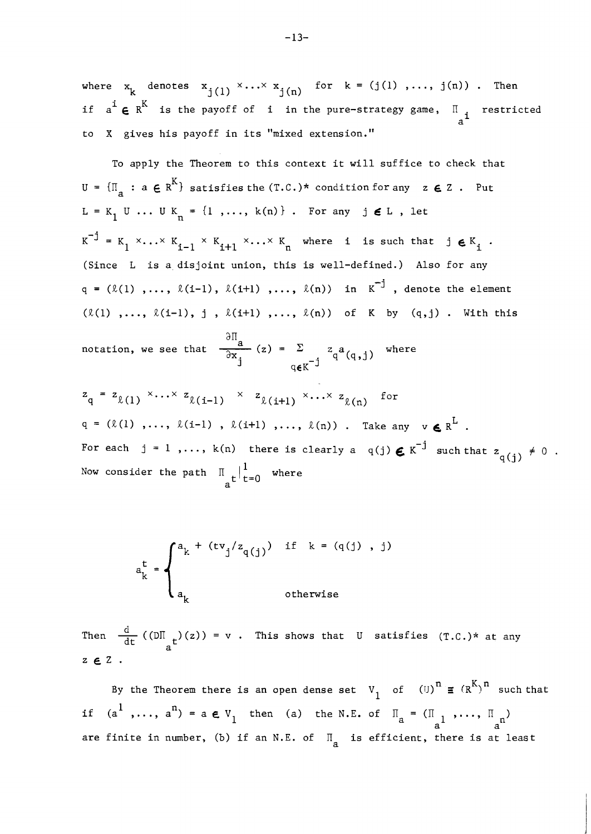where  $x_k$  denotes  $x_{j(1)} \times \cdots \times x_{j(n)}$  for  $k = (j(1), \ldots, j(n))$ . Then if  $a^i \in R^K$  is the payoff of i in the pure-strategy game,  $I_{a^i}$  restricted  $a^i$ to X gives his payoff in its "mixed extension."

To apply the Theorem to this context it will suffice to check that  $U = \{\Pi_{\mathbf{a}} : \mathbf{a} \in \mathbb{R}^K\}$  satisfies the  $(T.C.)^*$  condition for any  $\mathbf{z} \in \mathbb{Z}$  . Put  $L = K_1 U ... U K_n = \{1, ..., k(n)\}$ . For any  $j \notin L$ , let  $K^{-j} = K_1 \times ... \times K_{i-1} \times K_{i+1} \times ... \times K_n$  where i is such that jeed  $K_i$ . (Since L is a disjoint union, this is well-defined.) Also for any  $q = (\ell(1) , \ldots, \ell(i-1) , \ell(i+1) , \ldots, \ell(n))$  in  $K^{-j}$ , denote the element  $(\ell(1), \ldots, \ell(i-1), j, \ell(i+1), \ldots, \ell(n))$  of K by  $(q, j)$ . With this (Since L is a disjoint union, this is well-defined.) A<br>  $q = (\ell(1), ..., \ell(i-1), \ell(i+1), ..., \ell(n))$  in  $K^{-j}$ , den<br>
( $\ell(1), ..., \ell(i-1), j, \ell(i+1), ..., \ell(n))$  of K by (q<br>
motation, we see that  $\frac{\partial \Pi}{\partial x_j}(z) = \sum_{q \in K^{-j}} z_q a_{(q,j)}$  where

$$
z_{q} = z_{\ell(1)} \times \cdots \times z_{\ell(i-1)} \times z_{\ell(i+1)} \times \cdots \times z_{\ell(n)}
$$
 for  
 
$$
q = (\ell(1), \ldots, \ell(i-1), \ell(i+1), \ldots, \ell(n))
$$
 Take any  $v \in R^{L}$ .  
For each  $j = 1, \ldots, k(n)$  there is clearly a  $q(j) \in K^{-j}$  such that  $z_{q(j)} \neq 0$ .  
Now consider the path  $\prod_{a} t \mid_{t=0}^{l}$  where

$$
a_k^t = \begin{cases} a_k + (tv_j/z_q(j)) & \text{if } k = (q(j), j) \\ a_k & \text{otherwise} \end{cases}
$$

 $d_{\text{th}}$  otherwise<br>
Then  $\frac{d}{dt} ((D\Pi_{\text{at}})(z)) = v$ . This shows that U satisfies (T.C.)\* at any  $z \in Z$ .

By the Theorem there is an open dense set  $V_1$  of  ${(U)}^n \equiv (R^K)^n$  such that By the Theorem there is an open dense set  $V_1$  of  $(U)^n \equiv (R^k)^n$  suc<br>if  $(a^1, ..., a^n) = a \in V_1$  then (a) the N.E. of  $\Pi_a = (\Pi_{a^1}, ..., \Pi_{a^n})$ are finite in number, (b) if an N.E. of  $\overline{\mathbb{I}}_{\mathbf{a}}$  is efficient, there is at least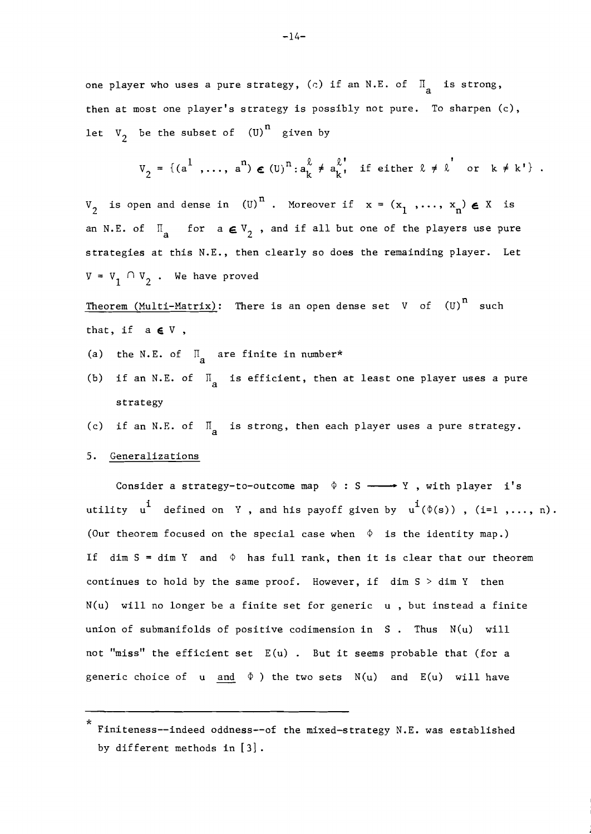one player who uses a pure strategy,  $(c)$  if an N.E. of  $\overline{\mathbb{I}}_a$  is strong, then at most one player's strategy is possibly not pure. To sharpen (c), let  $V_2$  be the subset of  $(U)^n$  given by

$$
V_2 = \{ (a^1, \ldots, a^n) \in (U)^n : a_k^{\ell} \neq a_k^{\ell}, \text{ if either } \ell \neq \ell \text{ or } k \neq k' \}.
$$

 $V_2$  is open and dense in (U)<sup>n</sup>. Moreover if  $x = (x_1, ..., x_n) \in X$  is an N.E. of  $\overline{\mathbb{I}}_a$  for  $a \in V_2$ , and if all but one of the players use pure strategies at this N.E., then clearly so does the remainding player. Let  $V = V_1 \cap V_2$ . We have proved

Theorem  $(Multi-Matrix)$ : There is an open dense set V of  $(U)^n$  such that, if a **E** V ,

- (a) the N.E. of  $\overline{\mathbb{I}}_a$  are finite in number\*
- (b) if an N.E. of  $\overline{\mathbb{I}}_a$  is efficient, then at least one player uses a pure strategy
- (c) if an N.E. of  $\overline{\mathbb{I}}_a$  is strong, then each player uses a pure strategy.
- 5. Generalizations

strategy<br>if an N.E. of  $\Pi_a$  is strong, then each player uses a pure strategy.<br>eneralizations<br>Consider a strategy-to-outcome map  $\Phi : S \longrightarrow Y$ , with player i's<br>ty u<sup>1</sup> defined on Y and bis payoff given by u<sup>1</sup>(0(s)) (i=1 Consider a strategy-to-outcome map  $\phi : S \longrightarrow Y$ , with player i's<br>utility  $u^{\mathbf{i}}$  defined on  $Y$ , and his payoff given by  $u^{\mathbf{i}}(\phi(s))$ , (i=l,..., n). (Our theorem focused on the special case when  $\Phi$  is the identity map.) If  $\dim S = \dim Y$  and  $\Phi$  has full rank, then it is clear that our theorem continues to hold by the same proof. However, if dim S > dim **Y** then  $N(u)$  will no longer be a finite set for generic  $u$ , but instead a finite union of submanifolds of positive codimension in S . Thus N(u) will not "miss" the efficient set  $\,$  E(u) . But it seems probable that (for a union of submanifolds of positive codimension in S . Thus  $N(u)$  will<br>not "miss" the efficient set  $E(u)$  . But it seems probable that (for a<br>generic choice of  $u$  and  $\phi$ ) the two sets  $N(u)$  and  $E(u)$  will have

<sup>\*</sup>  Finiteness--indeed oddness--of the mixed-strategy N.E. was established by different methods in **[3].**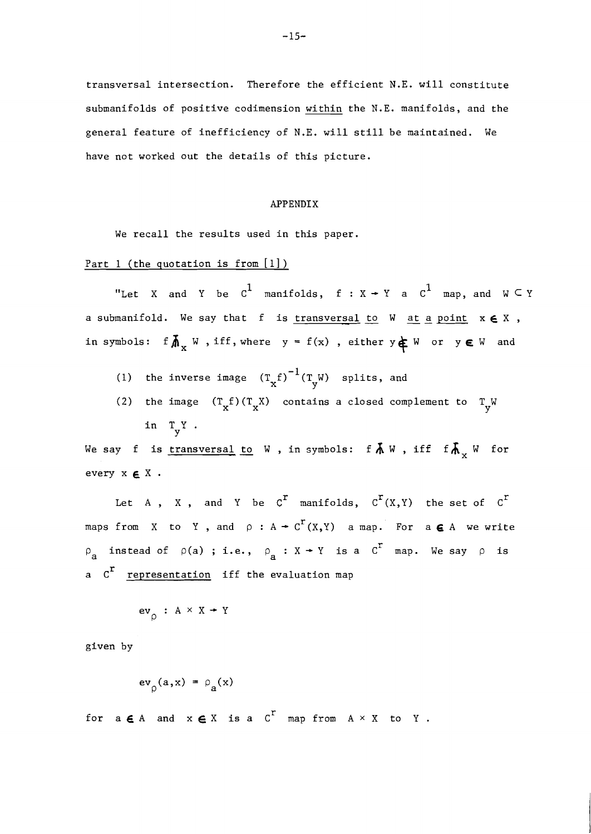transversal intersection. Therefore the efficient N.E. will constitute submanifolds of positive codimension within the N.E. manifolds, and the general feature of inefficiency of N.E. will still be maintained. We have not worked out the details of this picture.

#### APPENDIX

We recall the results used in this paper.

# Part 1 (the quotation is from  $[1]$ )

"Let X and Y be  $c^1$  manifolds,  $f : X \rightarrow Y$  a  $c^1$  map, and  $W \subset Y$ <br>a submanifold. We say that f is <u>transversal to</u> W <u>at a point</u>  $x \in X$ , in symbols: f $\overline{M}_x$  W, iff, where  $y = f(x)$ , either  $y \notin W$  or  $y \in W$  and

- (1) the inverse image  $(T_{\mathbf{x}}f)^{-1}(T_{\mathbf{y}}W)$  splits, and
- (2) the image  $(T_x f)(T_x X)$  contains a closed complement to  $T_y W$ in TY. Y

in T<sub>y</sub> .<br>We say f is <u>transversal to</u> W , in symbols: f  $\lambda$  W , iff f  $\lambda$ <sub>x</sub> W for every x *E* X .

Let A, X, and Y be  $C^r$  manifolds,  $C^r(X,Y)$  the set of  $C^r$ maps from X to Y, and  $\rho : A \rightarrow C^{r}(X,Y)$  a map. For a  $\epsilon A$  we write  $\rho_a$  instead of  $\rho(a)$  ; i.e.,  $\rho_a : X \rightarrow Y$  is a  $C^r$  map. We say  $\rho$  is a C<sup>r</sup> representation iff the evaluation map

$$
\mathrm{ev}_{\rho} \; : \; \mathrm{A} \times \mathrm{X} \twoheadrightarrow \mathrm{Y}
$$

given by

$$
\mathrm{ev}_{\rho}(a,x) = \rho_a(x)
$$

for  $a \in A$  and  $x \in X$  is a  $C^T$  map from  $A \times X$  to Y.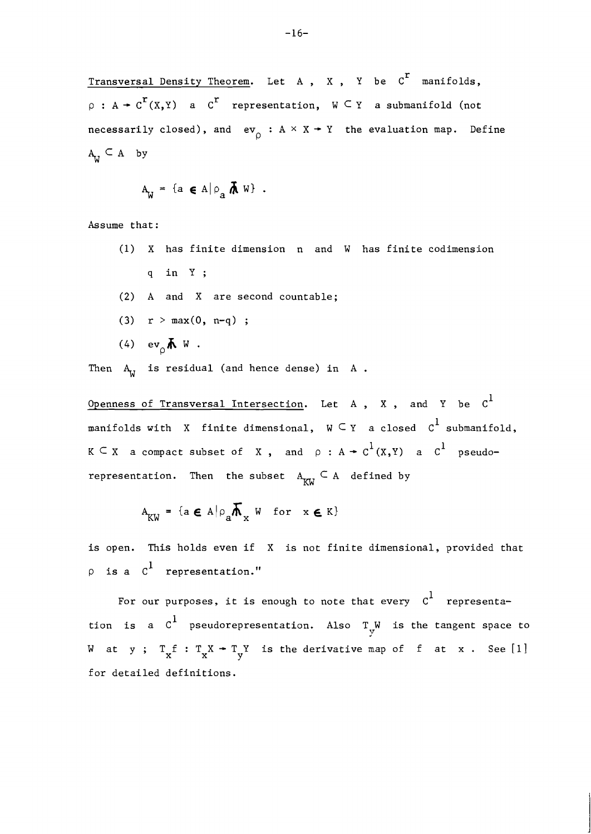Transversal Density Theorem. Let A, X, Y be  $C^r$  manifolds,  $\rho : A \rightarrow C^{r}(X,Y)$  a  $C^{r}$  representation,  $W \subseteq Y$  a submanifold (not necessarily closed), and  $\operatorname{\sf ev}_\rho : {\tt A} \times {\tt X} \twoheadrightarrow {\tt Y}$  the evaluation map. Define  $A_{IJ} \subseteq A$  by

$$
A_{\mathbf{W}} = \{ a \in A | \rho_a \mathbf{\hbar} \mathbf{W} \} .
$$

Assume that:

(1) X has finite dimension n and W has finite codimension  $q$  in  $Y$ ; **(2)** A and X are second countable; (3)  $r > max(0, n-q)$ ; (4)  $ev_{0} \uparrow w$ .

Then  $A_{11}$  is residual (and hence dense) in A.

Openness of Transversal Intersection. Let A, X, and Y be  $c^1$ manifolds with X finite dimensional,  $W \subseteq Y$  a closed  $C^1$  submanifold,  $K \subseteq X$  a compact subset of X, and  $\rho : A \rightarrow C^1(X,Y)$  a  $C^1$  pseudorepresentation. Then the subset  $A_{\kappa\omega} \subseteq A$  defined by

$$
A_{KW} = \{ a \in A | \rho_a \overline{A}_x W \text{ for } x \in K \}
$$

is open. This holds even if X is not finite dimensional, provided that  $\wp$  is a  $\text{ }c^1$  representation."

For our purposes, it is enough to note that every  $c^1$  representation is a  $\texttt{C}^1$  pseudorepresentation. Also  $\texttt{T}_\texttt{y}^{\texttt{W}}$  is the tangent space to W at y;  $T_x f : T_x X + T_y Y$  is the derivative map of f at x. See [1] for detailed definitions.